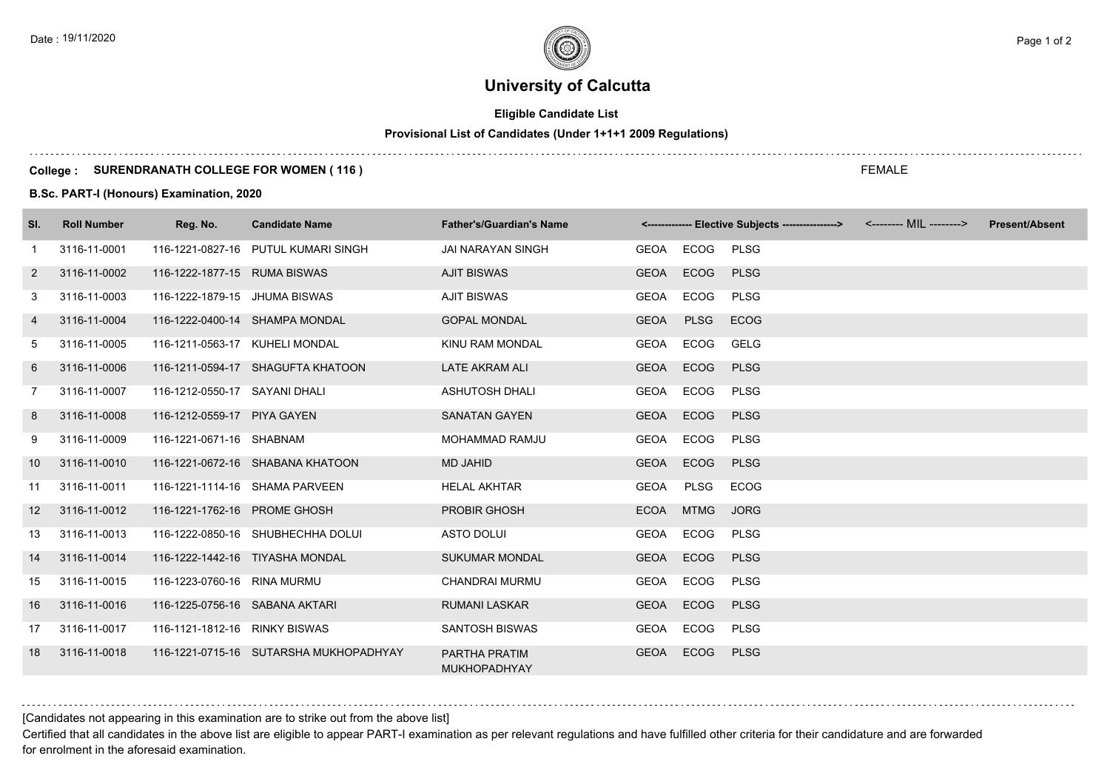# **University of Calcutta**

## **Eligible Candidate List**

# **Provisional List of Candidates (Under 1+1+1 2009 Regulations)**

### **College : SURENDRANATH COLLEGE FOR WOMEN ( 116 )**

**B.Sc. PART-I (Honours) Examination, 2020**

| SI.               | <b>Roll Number</b> | Reg. No.                       | <b>Candidate Name</b>                  | <b>Father's/Guardian's Name</b>      |             |             | <------------- Elective Subjects ----------------> <-------- MIL --------> | <b>Present/Absent</b> |
|-------------------|--------------------|--------------------------------|----------------------------------------|--------------------------------------|-------------|-------------|----------------------------------------------------------------------------|-----------------------|
| -1                | 3116-11-0001       |                                | 116-1221-0827-16 PUTUL KUMARI SINGH    | <b>JAI NARAYAN SINGH</b>             | GEOA ECOG   |             | <b>PLSG</b>                                                                |                       |
| 2                 | 3116-11-0002       | 116-1222-1877-15 RUMA BISWAS   |                                        | <b>AJIT BISWAS</b>                   | GEOA        | <b>ECOG</b> | <b>PLSG</b>                                                                |                       |
| 3                 | 3116-11-0003       | 116-1222-1879-15 JHUMA BISWAS  |                                        | <b>AJIT BISWAS</b>                   | GEOA        | ECOG        | <b>PLSG</b>                                                                |                       |
| 4                 | 3116-11-0004       |                                | 116-1222-0400-14 SHAMPA MONDAL         | <b>GOPAL MONDAL</b>                  | <b>GEOA</b> | <b>PLSG</b> | <b>ECOG</b>                                                                |                       |
| 5                 | 3116-11-0005       | 116-1211-0563-17 KUHELI MONDAL |                                        | KINU RAM MONDAL                      | GEOA        | ECOG        | <b>GELG</b>                                                                |                       |
| 6                 | 3116-11-0006       |                                | 116-1211-0594-17 SHAGUFTA KHATOON      | <b>LATE AKRAM ALI</b>                | <b>GEOA</b> | <b>ECOG</b> | <b>PLSG</b>                                                                |                       |
| 7                 | 3116-11-0007       | 116-1212-0550-17 SAYANI DHALI  |                                        | <b>ASHUTOSH DHALI</b>                | GEOA        | ECOG        | <b>PLSG</b>                                                                |                       |
| 8                 | 3116-11-0008       | 116-1212-0559-17 PIYA GAYEN    |                                        | <b>SANATAN GAYEN</b>                 | <b>GEOA</b> | <b>ECOG</b> | <b>PLSG</b>                                                                |                       |
| 9                 | 3116-11-0009       | 116-1221-0671-16 SHABNAM       |                                        | <b>MOHAMMAD RAMJU</b>                | GEOA        | ECOG        | <b>PLSG</b>                                                                |                       |
| 10                | 3116-11-0010       |                                | 116-1221-0672-16 SHABANA KHATOON       | MD JAHID                             | GEOA        | <b>ECOG</b> | <b>PLSG</b>                                                                |                       |
| 11                | 3116-11-0011       |                                | 116-1221-1114-16 SHAMA PARVEEN         | <b>HELAL AKHTAR</b>                  | <b>GEOA</b> | PLSG        | <b>ECOG</b>                                                                |                       |
| $12 \overline{ }$ | 3116-11-0012       | 116-1221-1762-16 PROME GHOSH   |                                        | <b>PROBIR GHOSH</b>                  | <b>ECOA</b> | <b>MTMG</b> | <b>JORG</b>                                                                |                       |
| 13                | 3116-11-0013       |                                | 116-1222-0850-16 SHUBHECHHA DOLUI      | <b>ASTO DOLUI</b>                    | GEOA        | ECOG        | <b>PLSG</b>                                                                |                       |
| 14                | 3116-11-0014       |                                | 116-1222-1442-16 TIYASHA MONDAL        | <b>SUKUMAR MONDAL</b>                | <b>GEOA</b> | <b>ECOG</b> | <b>PLSG</b>                                                                |                       |
| 15                | 3116-11-0015       | 116-1223-0760-16 RINA MURMU    |                                        | <b>CHANDRAI MURMU</b>                | GEOA        | ECOG        | <b>PLSG</b>                                                                |                       |
| 16                | 3116-11-0016       | 116-1225-0756-16 SABANA AKTARI |                                        | <b>RUMANI LASKAR</b>                 | <b>GEOA</b> | <b>ECOG</b> | <b>PLSG</b>                                                                |                       |
| 17                | 3116-11-0017       | 116-1121-1812-16 RINKY BISWAS  |                                        | <b>SANTOSH BISWAS</b>                | GEOA        | ECOG        | <b>PLSG</b>                                                                |                       |
| 18                | 3116-11-0018       |                                | 116-1221-0715-16 SUTARSHA MUKHOPADHYAY | PARTHA PRATIM<br><b>MUKHOPADHYAY</b> | <b>GEOA</b> | ECOG        | <b>PLSG</b>                                                                |                       |

[Candidates not appearing in this examination are to strike out from the above list]

Certified that all candidates in the above list are eligible to appear PART-I examination as per relevant regulations and have fulfilled other criteria for their candidature and are forwarded for enrolment in the aforesaid examination.

FEMALE